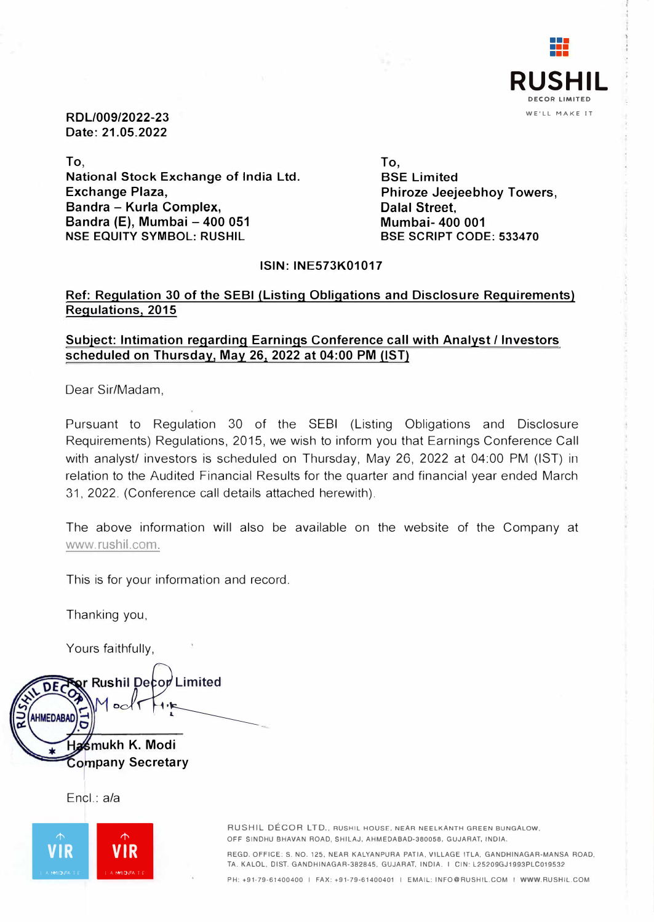

**RDL/009/2022-23 Date: 21.05.2022** 

**To, National Stock Exchange of India Ltd. Exchange Plaza, Sandra - Kurla Complex, Sandra (E), Mumbai - 400 051 NSE EQUITY SYMBOL: RUSHIL** 

**To, BSE Limited Phiroze Jeejeebhoy Towers, Dalal Street, Mumbai- 400 001 BSE SCRIPT CODE: 533470** 

#### **ISIN: INE573K01017**

### **Ref: Regulation 30 of the SEBI (Listing Obligations and Disclosure Requirements) Regulations, 2015**

### **Subject: Intimation regarding Earnings Conference call with Analyst/ Investors scheduled on Thursday, May 26, 2022 at 04:00 PM (1ST)**

Dear Sir/Madam,

Pursuant to Regulation 30 of the SEBI (Listing Obligations and Disclosure Requirements) Regulations, 2015, we wish to inform you that Earnings Conference Call with analyst/ investors is scheduled on Thursday, May 26, 2022 at 04:00 PM (1ST) in relation to the Audited Financial Results for the quarter and financial year ended March 31, 2022. (Conference call details attached herewith).

The above information will also be available on the website of the Company at www.rushil.com.

This is for your information and record.

Thanking you,

Yours faithfully,

**ur Rushil Decor Limited**<br>AM pole which AHMEDABAD **ukh K. Modi**  mpany Secretary<br>|<br>|

Encl.: a/a



OFF SINDHU BHAVAN ROAD, SHILAJ, AHMEDABAD-380058, GUJARAT, INDIA.

REGO. OFFICE: S. NO. 125, NEAR KALYANPURA PATIA. VILLAGE ITLA, GANDHINAGAR-MANSA ROAD, TA. KALOL. 01ST. GANDHINAGAR-382845, GUJARAT, INDIA. I GIN: L25209GJ1993PLC019532

PH: +91-79-61400400 I FAX: +91-79-61400401 I EMAIL: INFO@RUSHIL.COM I WWW.RUSHIL.COM